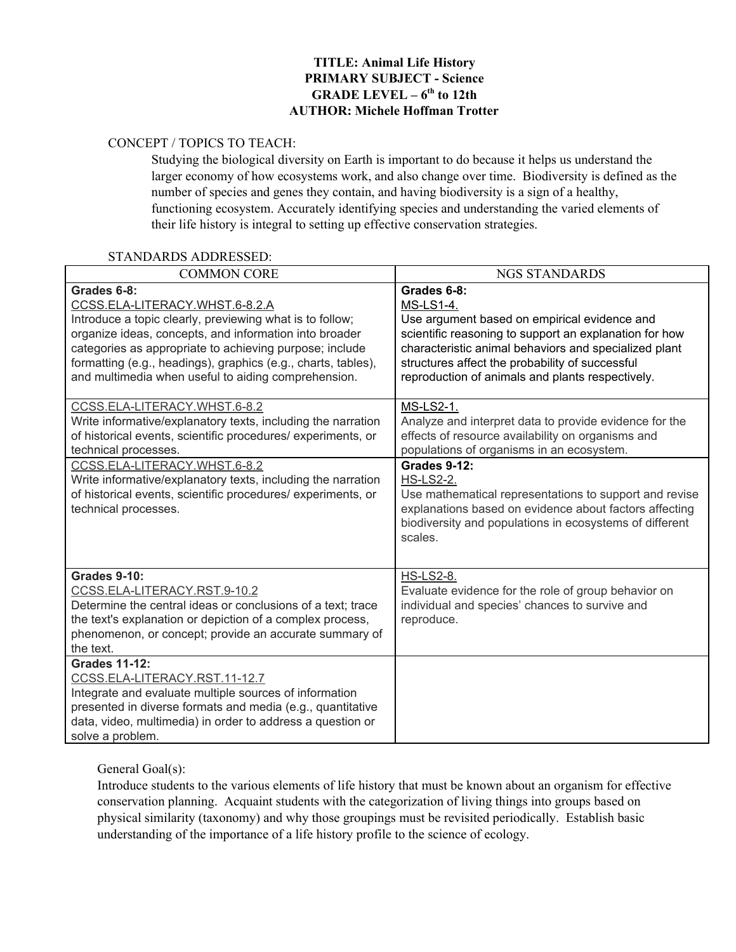### **TITLE: Animal Life History PRIMARY SUBJECT - Science GRADE LEVEL – 6 th to 12th AUTHOR: Michele Hoffman Trotter**

#### CONCEPT / TOPICS TO TEACH:

Studying the biological diversity on Earth is important to do because it helps us understand the larger economy of how ecosystems work, and also change over time. Biodiversity is defined as the number of species and genes they contain, and having biodiversity is a sign of a healthy, functioning ecosystem. Accurately identifying species and understanding the varied elements of their life history is integral to setting up effective conservation strategies.

#### STANDARDS ADDRESSED:

| <b>COMMON CORE</b>                                                                                                                                                                                                                                                                                                                                                           | <b>NGS STANDARDS</b>                                                                                                                                                                                                                                                                                                                                                                                       |
|------------------------------------------------------------------------------------------------------------------------------------------------------------------------------------------------------------------------------------------------------------------------------------------------------------------------------------------------------------------------------|------------------------------------------------------------------------------------------------------------------------------------------------------------------------------------------------------------------------------------------------------------------------------------------------------------------------------------------------------------------------------------------------------------|
| Grades 6-8:<br>CCSS.ELA-LITERACY.WHST.6-8.2.A<br>Introduce a topic clearly, previewing what is to follow;<br>organize ideas, concepts, and information into broader<br>categories as appropriate to achieving purpose; include<br>formatting (e.g., headings), graphics (e.g., charts, tables),<br>and multimedia when useful to aiding comprehension.                       | Grades 6-8:<br>MS-LS1-4.<br>Use argument based on empirical evidence and<br>scientific reasoning to support an explanation for how<br>characteristic animal behaviors and specialized plant<br>structures affect the probability of successful<br>reproduction of animals and plants respectively.                                                                                                         |
| CCSS.ELA-LITERACY.WHST.6-8.2<br>Write informative/explanatory texts, including the narration<br>of historical events, scientific procedures/ experiments, or<br>technical processes.<br>CCSS.ELA-LITERACY.WHST.6-8.2<br>Write informative/explanatory texts, including the narration<br>of historical events, scientific procedures/ experiments, or<br>technical processes. | MS-LS2-1.<br>Analyze and interpret data to provide evidence for the<br>effects of resource availability on organisms and<br>populations of organisms in an ecosystem.<br><b>Grades 9-12:</b><br><b>HS-LS2-2.</b><br>Use mathematical representations to support and revise<br>explanations based on evidence about factors affecting<br>biodiversity and populations in ecosystems of different<br>scales. |
| <b>Grades 9-10:</b><br>CCSS.ELA-LITERACY.RST.9-10.2<br>Determine the central ideas or conclusions of a text; trace<br>the text's explanation or depiction of a complex process,<br>phenomenon, or concept; provide an accurate summary of<br>the text.                                                                                                                       | <b>HS-LS2-8.</b><br>Evaluate evidence for the role of group behavior on<br>individual and species' chances to survive and<br>reproduce.                                                                                                                                                                                                                                                                    |
| <b>Grades 11-12:</b><br>CCSS.ELA-LITERACY.RST.11-12.7<br>Integrate and evaluate multiple sources of information<br>presented in diverse formats and media (e.g., quantitative<br>data, video, multimedia) in order to address a question or<br>solve a problem.                                                                                                              |                                                                                                                                                                                                                                                                                                                                                                                                            |

General Goal(s):

Introduce students to the various elements of life history that must be known about an organism for effective conservation planning. Acquaint students with the categorization of living things into groups based on physical similarity (taxonomy) and why those groupings must be revisited periodically. Establish basic understanding of the importance of a life history profile to the science of ecology.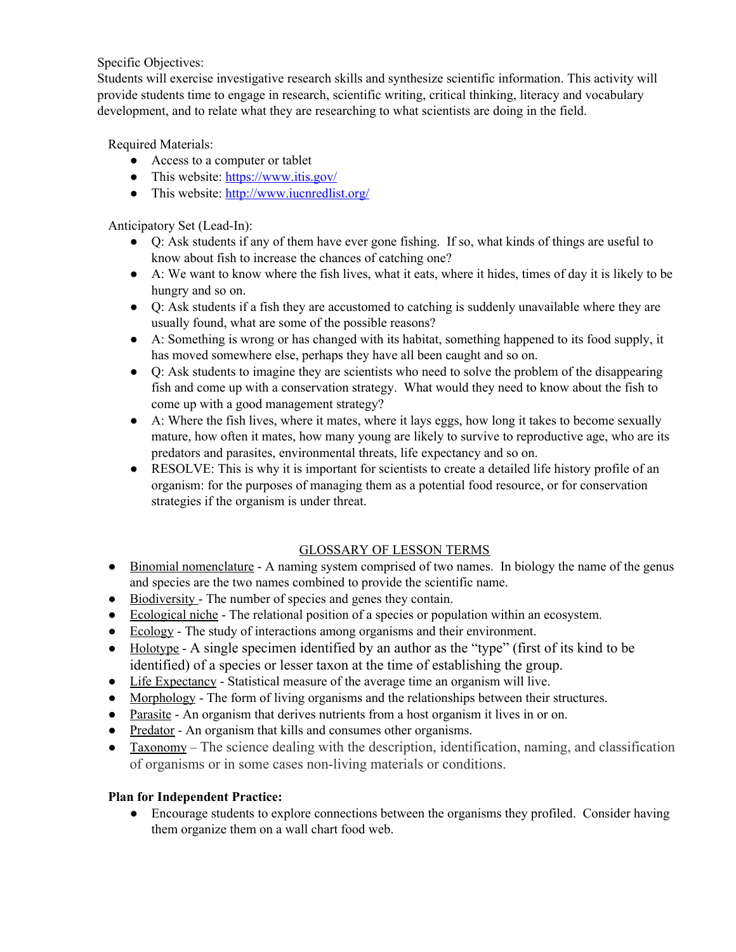### Specific Objectives:

Students will exercise investigative research skills and synthesize scientific information. This activity will provide students time to engage in research, scientific writing, critical thinking, literacy and vocabulary development, and to relate what they are researching to what scientists are doing in the field.

### Required Materials:

- Access to a computer or tablet
- This website: <https://www.itis.gov/>
- This website: <http://www.iucnredlist.org/>

## Anticipatory Set (Lead-In):

- Q: Ask students if any of them have ever gone fishing. If so, what kinds of things are useful to know about fish to increase the chances of catching one?
- A: We want to know where the fish lives, what it eats, where it hides, times of day it is likely to be hungry and so on.
- Q: Ask students if a fish they are accustomed to catching is suddenly unavailable where they are usually found, what are some of the possible reasons?
- A: Something is wrong or has changed with its habitat, something happened to its food supply, it has moved somewhere else, perhaps they have all been caught and so on.
- Q: Ask students to imagine they are scientists who need to solve the problem of the disappearing fish and come up with a conservation strategy. What would they need to know about the fish to come up with a good management strategy?
- A: Where the fish lives, where it mates, where it lays eggs, how long it takes to become sexually mature, how often it mates, how many young are likely to survive to reproductive age, who are its predators and parasites, environmental threats, life expectancy and so on.
- RESOLVE: This is why it is important for scientists to create a detailed life history profile of an organism: for the purposes of managing them as a potential food resource, or for conservation strategies if the organism is under threat.

#### GLOSSARY OF LESSON TERMS

- Binomial nomenclature A naming system comprised of two names. In biology the name of the genus and species are the two names combined to provide the scientific name.
- Biodiversity The number of species and genes they contain.
- Ecological niche The relational position of a species or population within an ecosystem.
- Ecology The study of interactions among organisms and their environment.
- Holotype A single specimen identified by an author as the "type" (first of its kind to be identified) of a species or lesser taxon at the time of establishing the group.
- Life Expectancy Statistical measure of the average time an organism will live.
- Morphology The form of living organisms and the relationships between their structures.
- Parasite An organism that derives nutrients from a host organism it lives in or on.
- Predator An organism that kills and consumes other organisms.
- Taxonomy The science dealing with the description, identification, naming, and classification of organisms or in some cases non-living materials or conditions.

# **Plan for Independent Practice:**

• Encourage students to explore connections between the organisms they profiled. Consider having them organize them on a wall chart food web.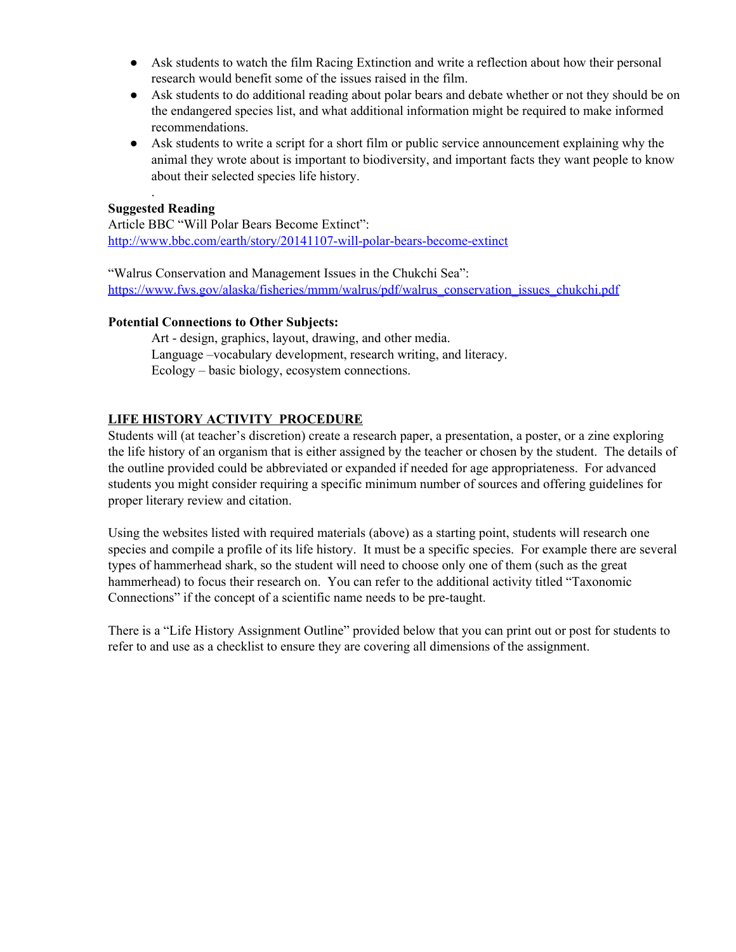- Ask students to watch the film Racing Extinction and write a reflection about how their personal research would benefit some of the issues raised in the film.
- Ask students to do additional reading about polar bears and debate whether or not they should be on the endangered species list, and what additional information might be required to make informed recommendations.
- Ask students to write a script for a short film or public service announcement explaining why the animal they wrote about is important to biodiversity, and important facts they want people to know about their selected species life history.

### **Suggested Reading**

.

Article BBC "Will Polar Bears Become Extinct": <http://www.bbc.com/earth/story/20141107-will-polar-bears-become-extinct>

"Walrus Conservation and Management Issues in the Chukchi Sea": [https://www.fws.gov/alaska/fisheries/mmm/walrus/pdf/walrus\\_conservation\\_issues\\_chukchi.pdf](https://www.fws.gov/alaska/fisheries/mmm/walrus/pdf/walrus_conservation_issues_chukchi.pdf)

#### **Potential Connections to Other Subjects:**

Art - design, graphics, layout, drawing, and other media. Language –vocabulary development, research writing, and literacy. Ecology – basic biology, ecosystem connections.

### **LIFE HISTORY ACTIVITY PROCEDURE**

Students will (at teacher's discretion) create a research paper, a presentation, a poster, or a zine exploring the life history of an organism that is either assigned by the teacher or chosen by the student. The details of the outline provided could be abbreviated or expanded if needed for age appropriateness. For advanced students you might consider requiring a specific minimum number of sources and offering guidelines for proper literary review and citation.

Using the websites listed with required materials (above) as a starting point, students will research one species and compile a profile of its life history. It must be a specific species. For example there are several types of hammerhead shark, so the student will need to choose only one of them (such as the great hammerhead) to focus their research on. You can refer to the additional activity titled "Taxonomic Connections" if the concept of a scientific name needs to be pre-taught.

There is a "Life History Assignment Outline" provided below that you can print out or post for students to refer to and use as a checklist to ensure they are covering all dimensions of the assignment.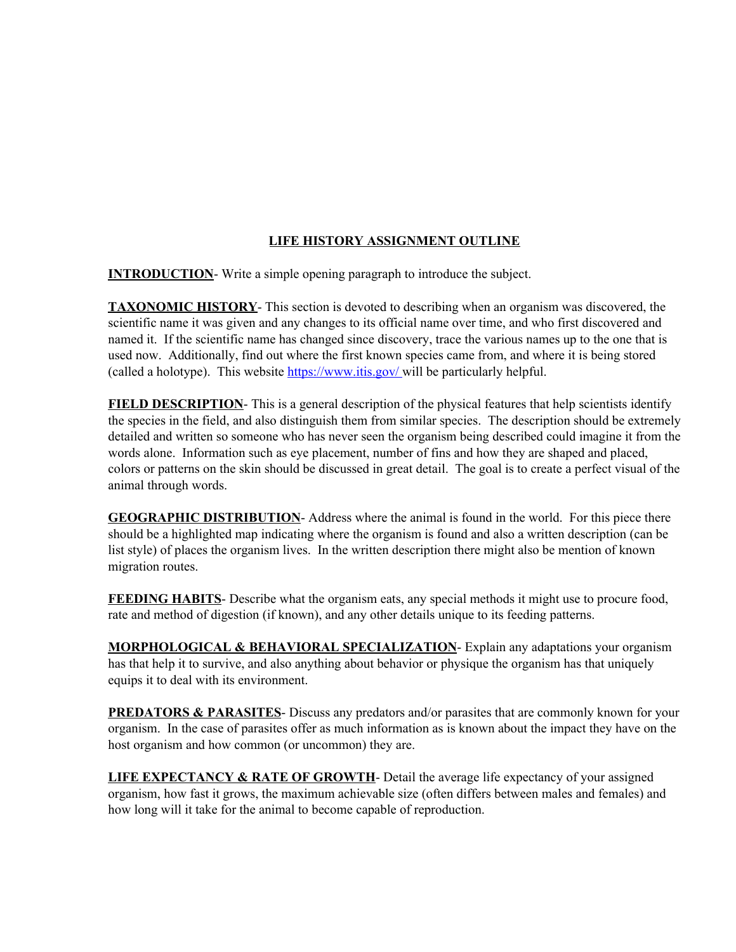# **LIFE HISTORY ASSIGNMENT OUTLINE**

**INTRODUCTION**- Write a simple opening paragraph to introduce the subject.

**TAXONOMIC HISTORY**- This section is devoted to describing when an organism was discovered, the scientific name it was given and any changes to its official name over time, and who first discovered and named it. If the scientific name has changed since discovery, trace the various names up to the one that is used now. Additionally, find out where the first known species came from, and where it is being stored (called a holotype). This website <https://www.itis.gov/> will be particularly helpful.

**FIELD DESCRIPTION**- This is a general description of the physical features that help scientists identify the species in the field, and also distinguish them from similar species. The description should be extremely detailed and written so someone who has never seen the organism being described could imagine it from the words alone. Information such as eye placement, number of fins and how they are shaped and placed, colors or patterns on the skin should be discussed in great detail. The goal is to create a perfect visual of the animal through words.

**GEOGRAPHIC DISTRIBUTION**- Address where the animal is found in the world. For this piece there should be a highlighted map indicating where the organism is found and also a written description (can be list style) of places the organism lives. In the written description there might also be mention of known migration routes.

**FEEDING HABITS-** Describe what the organism eats, any special methods it might use to procure food, rate and method of digestion (if known), and any other details unique to its feeding patterns.

**MORPHOLOGICAL & BEHAVIORAL SPECIALIZATION**- Explain any adaptations your organism has that help it to survive, and also anything about behavior or physique the organism has that uniquely equips it to deal with its environment.

**PREDATORS & PARASITES**- Discuss any predators and/or parasites that are commonly known for your organism. In the case of parasites offer as much information as is known about the impact they have on the host organism and how common (or uncommon) they are.

**LIFE EXPECTANCY & RATE OF GROWTH**- Detail the average life expectancy of your assigned organism, how fast it grows, the maximum achievable size (often differs between males and females) and how long will it take for the animal to become capable of reproduction.